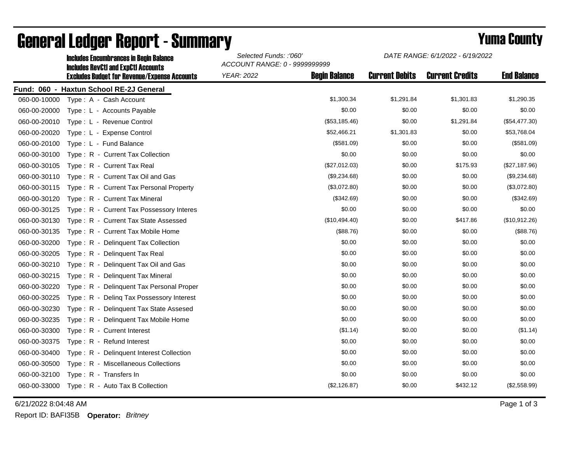|              | <b>Includes Encumbrances in Begin Balance</b><br><b>Includes RevCtI and ExpCtI Accounts</b><br><b>Excludes Budget for Revenue/Expense Accounts</b> | Selected Funds: :'060'<br>ACCOUNT RANGE: 0 - 9999999999 |                      | DATE RANGE: 6/1/2022 - 6/19/2022 |                        |                    |
|--------------|----------------------------------------------------------------------------------------------------------------------------------------------------|---------------------------------------------------------|----------------------|----------------------------------|------------------------|--------------------|
|              |                                                                                                                                                    | <b>YEAR: 2022</b>                                       | <b>Begin Balance</b> | <b>Current Debits</b>            | <b>Current Credits</b> | <b>End Balance</b> |
|              | Fund: 060 - Haxtun School RE-2J General                                                                                                            |                                                         |                      |                                  |                        |                    |
| 060-00-10000 | Type: A - Cash Account                                                                                                                             |                                                         | \$1,300.34           | \$1,291.84                       | \$1,301.83             | \$1,290.35         |
| 060-00-20000 | Type: L - Accounts Payable                                                                                                                         |                                                         | \$0.00               | \$0.00                           | \$0.00                 | \$0.00             |
| 060-00-20010 | Type: L - Revenue Control                                                                                                                          |                                                         | (\$53,185.46)        | \$0.00                           | \$1,291.84             | (\$54,477.30)      |
| 060-00-20020 | Type: L - Expense Control                                                                                                                          |                                                         | \$52,466.21          | \$1,301.83                       | \$0.00                 | \$53,768.04        |
| 060-00-20100 | Type: L - Fund Balance                                                                                                                             |                                                         | (\$581.09)           | \$0.00                           | \$0.00                 | (\$581.09)         |
| 060-00-30100 | Type: R - Current Tax Collection                                                                                                                   |                                                         | \$0.00               | \$0.00                           | \$0.00                 | \$0.00             |
| 060-00-30105 | Type: R - Current Tax Real                                                                                                                         |                                                         | (\$27,012.03)        | \$0.00                           | \$175.93               | (\$27,187.96)      |
| 060-00-30110 | Type: R - Current Tax Oil and Gas                                                                                                                  |                                                         | (\$9,234.68)         | \$0.00                           | \$0.00                 | (\$9,234.68)       |
| 060-00-30115 | Type: R - Current Tax Personal Property                                                                                                            |                                                         | (\$3,072.80)         | \$0.00                           | \$0.00                 | (\$3,072.80)       |
| 060-00-30120 | Type: R - Current Tax Mineral                                                                                                                      |                                                         | (\$342.69)           | \$0.00                           | \$0.00                 | (\$342.69)         |
| 060-00-30125 | Type: R - Current Tax Possessory Interes                                                                                                           |                                                         | \$0.00               | \$0.00                           | \$0.00                 | \$0.00             |
| 060-00-30130 | Type: R - Current Tax State Assessed                                                                                                               |                                                         | (\$10,494.40)        | \$0.00                           | \$417.86               | (\$10,912.26)      |
| 060-00-30135 | Type: R - Current Tax Mobile Home                                                                                                                  |                                                         | (\$88.76)            | \$0.00                           | \$0.00                 | (\$88.76)          |
| 060-00-30200 | Type: R - Delinquent Tax Collection                                                                                                                |                                                         | \$0.00               | \$0.00                           | \$0.00                 | \$0.00             |
| 060-00-30205 | Type: R - Delinquent Tax Real                                                                                                                      |                                                         | \$0.00               | \$0.00                           | \$0.00                 | \$0.00             |
| 060-00-30210 | Type: R - Delinquent Tax Oil and Gas                                                                                                               |                                                         | \$0.00               | \$0.00                           | \$0.00                 | \$0.00             |
| 060-00-30215 | Type: R - Delinquent Tax Mineral                                                                                                                   |                                                         | \$0.00               | \$0.00                           | \$0.00                 | \$0.00             |
| 060-00-30220 | Type: R - Delinguent Tax Personal Proper                                                                                                           |                                                         | \$0.00               | \$0.00                           | \$0.00                 | \$0.00             |
| 060-00-30225 | Type: R - Deling Tax Possessory Interest                                                                                                           |                                                         | \$0.00               | \$0.00                           | \$0.00                 | \$0.00             |
| 060-00-30230 | Type: R - Delinguent Tax State Assesed                                                                                                             |                                                         | \$0.00               | \$0.00                           | \$0.00                 | \$0.00             |
| 060-00-30235 | Type: R - Delinquent Tax Mobile Home                                                                                                               |                                                         | \$0.00               | \$0.00                           | \$0.00                 | \$0.00             |
| 060-00-30300 | Type: R - Current Interest                                                                                                                         |                                                         | (\$1.14)             | \$0.00                           | \$0.00                 | (\$1.14)           |
| 060-00-30375 | Type: R - Refund Interest                                                                                                                          |                                                         | \$0.00               | \$0.00                           | \$0.00                 | \$0.00             |
| 060-00-30400 | Type: R - Delinquent Interest Collection                                                                                                           |                                                         | \$0.00               | \$0.00                           | \$0.00                 | \$0.00             |
| 060-00-30500 | Type: R - Miscellaneous Collections                                                                                                                |                                                         | \$0.00               | \$0.00                           | \$0.00                 | \$0.00             |
| 060-00-32100 | Type: R - Transfers In                                                                                                                             |                                                         | \$0.00               | \$0.00                           | \$0.00                 | \$0.00             |
| 060-00-33000 | Type: R - Auto Tax B Collection                                                                                                                    |                                                         | (\$2,126.87)         | \$0.00                           | \$432.12               | (\$2,558.99)       |

## General Ledger Report - Summary **Example 2018** Yuma County

6/21/2022 8:04:48 AM Page 1 of 3

Report ID: BAFI35B **Operator:** *Britney*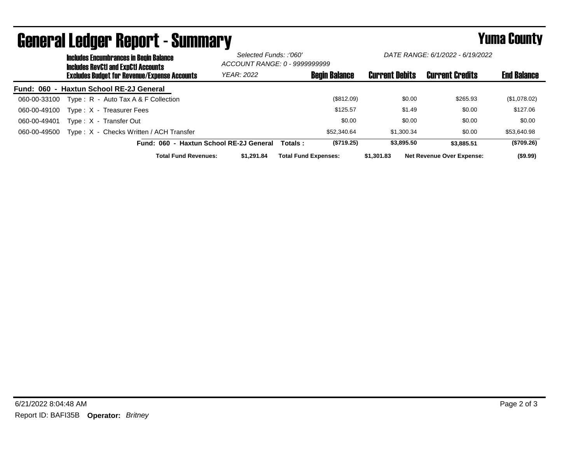|              | <b>Includes Encumbrances in Begin Balance</b><br><b>Includes RevCtI and ExpCtI Accounts</b> |                                              |                                         | Selected Funds: :'060'<br>ACCOUNT RANGE: 0 - 9999999999 |                             | DATE RANGE: 6/1/2022 - 6/19/2022 |                                  |                    |
|--------------|---------------------------------------------------------------------------------------------|----------------------------------------------|-----------------------------------------|---------------------------------------------------------|-----------------------------|----------------------------------|----------------------------------|--------------------|
|              |                                                                                             | Excludes Budget for Revenue/Expense Accounts | YEAR: 2022                              |                                                         | <b>Begin Balance</b>        | <b>Current Debits</b>            | <b>Current Credits</b>           | <b>End Balance</b> |
|              |                                                                                             | Fund: 060 - Haxtun School RE-2J General      |                                         |                                                         |                             |                                  |                                  |                    |
| 060-00-33100 |                                                                                             | Type: $R -$ Auto Tax A & F Collection        |                                         |                                                         | (\$812.09)                  | \$0.00                           | \$265.93                         | (\$1,078.02)       |
| 060-00-49100 |                                                                                             | Type: X - Treasurer Fees                     |                                         |                                                         | \$125.57                    | \$1.49                           | \$0.00                           | \$127.06           |
| 060-00-49401 |                                                                                             | Type: X - Transfer Out                       |                                         |                                                         | \$0.00                      | \$0.00                           | \$0.00                           | \$0.00             |
| 060-00-49500 |                                                                                             | Type: X - Checks Written / ACH Transfer      |                                         |                                                         | \$52,340.64                 | \$1,300.34                       | \$0.00                           | \$53,640.98        |
|              |                                                                                             |                                              | Fund: 060 - Haxtun School RE-2J General | Totals :                                                | (\$719.25)                  | \$3,895.50                       | \$3.885.51                       | (\$709.26)         |
|              |                                                                                             | <b>Total Fund Revenues:</b>                  | \$1.291.84                              |                                                         | <b>Total Fund Expenses:</b> | \$1,301.83                       | <b>Net Revenue Over Expense:</b> | $($ \$9.99)        |

## General Ledger Report - Summary **Example 2018** Yuma County